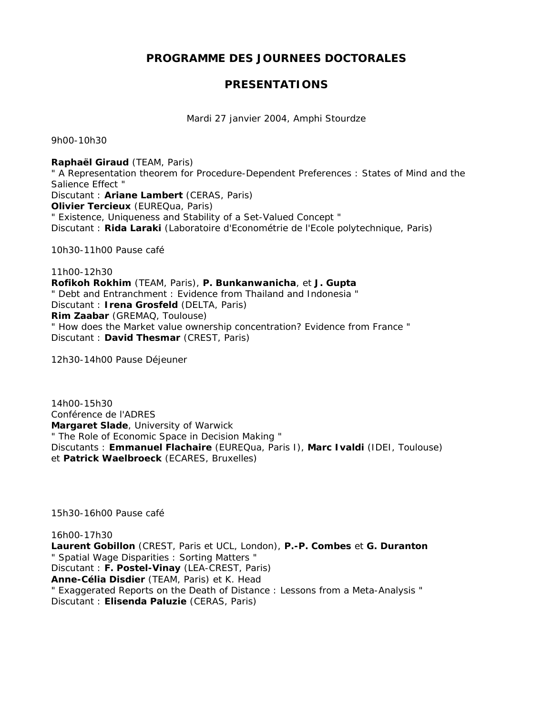# **PROGRAMME DES JOURNEES DOCTORALES**

## **PRESENTATIONS**

Mardi 27 janvier 2004, Amphi Stourdze

9h00-10h30

**Raphaël Giraud** (TEAM, Paris) " A Representation theorem for Procedure-Dependent Preferences : States of Mind and the Salience Effect " Discutant : **Ariane Lambert** (CERAS, Paris) **Olivier Tercieux** (EUREQua, Paris) " Existence, Uniqueness and Stability of a Set-Valued Concept " Discutant : **Rida Laraki** (Laboratoire d'Econométrie de l'Ecole polytechnique, Paris)

10h30-11h00 Pause café

11h00-12h30 **Rofikoh Rokhim** (TEAM, Paris), **P. Bunkanwanicha**, et **J. Gupta** " Debt and Entranchment : Evidence from Thailand and Indonesia " Discutant : **Irena Grosfeld** (DELTA, Paris) **Rim Zaabar** (GREMAQ, Toulouse) " How does the Market value ownership concentration? Evidence from France " Discutant : **David Thesmar** (CREST, Paris)

12h30-14h00 Pause Déjeuner

14h00-15h30 Conférence de l'ADRES **Margaret Slade**, University of Warwick " The Role of Economic Space in Decision Making " Discutants : **Emmanuel Flachaire** (EUREQua, Paris I), **Marc Ivaldi** (IDEI, Toulouse) et **Patrick Waelbroeck** (ECARES, Bruxelles)

15h30-16h00 Pause café

16h00-17h30 **Laurent Gobillon** (CREST, Paris et UCL, London), **P.-P. Combes** et **G. Duranton** " Spatial Wage Disparities : Sorting Matters " Discutant : **F. Postel-Vinay** (LEA-CREST, Paris) **Anne-Célia Disdier** (TEAM, Paris) et K. Head " Exaggerated Reports on the Death of Distance : Lessons from a Meta-Analysis " Discutant : **Elisenda Paluzie** (CERAS, Paris)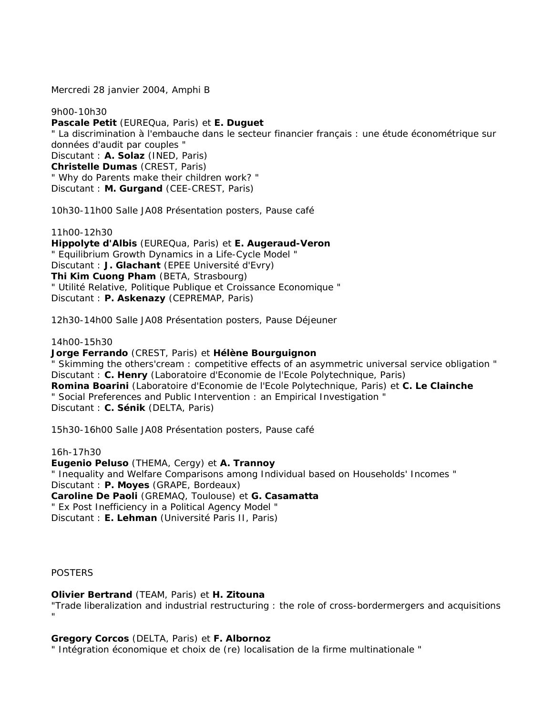Mercredi 28 janvier 2004, Amphi B

9h00-10h30 **Pascale Petit** (EUREQua, Paris) et **E. Duguet** " La discrimination à l'embauche dans le secteur financier français : une étude économétrique sur données d'audit par couples " Discutant : **A. Solaz** (INED, Paris) **Christelle Dumas** (CREST, Paris) " Why do Parents make their children work? " Discutant : **M. Gurgand** (CEE-CREST, Paris)

10h30-11h00 Salle JA08 Présentation posters, Pause café

11h00-12h30 **Hippolyte d'Albis** (EUREQua, Paris) et **E. Augeraud-Veron** " Equilibrium Growth Dynamics in a Life-Cycle Model " Discutant : **J. Glachant** (EPEE Université d'Evry) **Thi Kim Cuong Pham** (BETA, Strasbourg) " Utilité Relative, Politique Publique et Croissance Economique " Discutant : **P. Askenazy** (CEPREMAP, Paris)

12h30-14h00 Salle JA08 Présentation posters, Pause Déjeuner

14h00-15h30

**Jorge Ferrando** (CREST, Paris) et **Hélène Bourguignon** " Skimming the others'cream : competitive effects of an asymmetric universal service obligation " Discutant : **C. Henry** (Laboratoire d'Economie de l'Ecole Polytechnique, Paris) **Romina Boarini** (Laboratoire d'Economie de l'Ecole Polytechnique, Paris) et **C. Le Clainche** " Social Preferences and Public Intervention : an Empirical Investigation " Discutant : **C. Sénik** (DELTA, Paris)

15h30-16h00 Salle JA08 Présentation posters, Pause café

16h-17h30 **Eugenio Peluso** (THEMA, Cergy) et **A. Trannoy** " Inequality and Welfare Comparisons among Individual based on Households' Incomes " Discutant : **P. Moyes** (GRAPE, Bordeaux) **Caroline De Paoli** (GREMAQ, Toulouse) et **G. Casamatta** " Ex Post Inefficiency in a Political Agency Model " Discutant : **E. Lehman** (Université Paris II, Paris)

**POSTERS** 

**Olivier Bertrand** (TEAM, Paris) et **H. Zitouna**

"Trade liberalization and industrial restructuring : the role of cross-bordermergers and acquisitions "

**Gregory Corcos** (DELTA, Paris) et **F. Albornoz**

" Intégration économique et choix de (re) localisation de la firme multinationale "